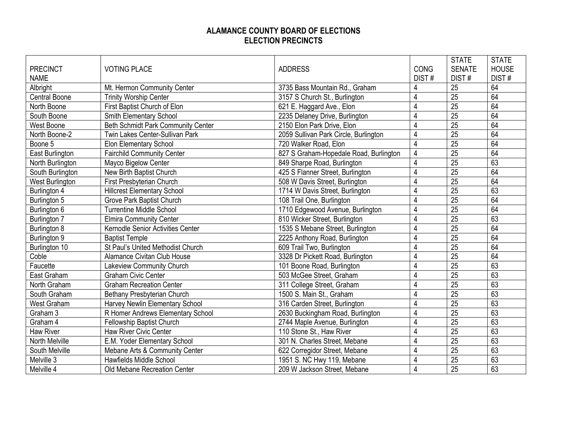## **ALAMANCE COUNTY BOARD OF ELECTIONS ELECTION PRECINCTS**

|                      |                                    |                                        |                | <b>STATE</b>    | <b>STATE</b> |
|----------------------|------------------------------------|----------------------------------------|----------------|-----------------|--------------|
| <b>PRECINCT</b>      | <b>VOTING PLACE</b>                | <b>ADDRESS</b>                         | <b>CONG</b>    | <b>SENATE</b>   | <b>HOUSE</b> |
| <b>NAME</b>          |                                    |                                        | DIST#          | DIST#           | DIST#        |
| Albright             | Mt. Hermon Community Center        | 3735 Bass Mountain Rd., Graham         |                | 25              | 64           |
| <b>Central Boone</b> | <b>Trinity Worship Center</b>      | 3157 S Church St., Burlington          | 4              | $\overline{25}$ | 64           |
| North Boone          | First Baptist Church of Elon       | 621 E. Haggard Ave., Elon              | 4              | $\overline{25}$ | 64           |
| South Boone          | Smith Elementary School            | 2235 Delaney Drive, Burlington         | 4              | $\overline{25}$ | 64           |
| West Boone           | Beth Schmidt Park Community Center | 2150 Elon Park Drive, Elon             | 4              | $\overline{25}$ | 64           |
| North Boone-2        | Twin Lakes Center-Sullivan Park    | 2059 Sullivan Park Circle, Burlington  | 4              | $\overline{25}$ | 64           |
| Boone 5              | Elon Elementary School             | 720 Walker Road, Elon                  | 4              | $\overline{25}$ | 64           |
| East Burlington      | <b>Fairchild Community Center</b>  | 827 S Graham-Hopedale Road, Burlington | 4              | $\overline{25}$ | 64           |
| North Burlington     | Mayco Bigelow Center               | 849 Sharpe Road, Burlington            | 4              | 25              | 63           |
| South Burlington     | New Birth Baptist Church           | 425 S Flanner Street, Burlington       | 4              | 25              | 64           |
| West Burlington      | First Presbyterian Church          | 508 W Davis Street, Burlington         | 4              | $\overline{25}$ | 64           |
| Burlington 4         | <b>Hillcrest Elementary School</b> | 1714 W Davis Street, Burlington        | 4              | $\overline{25}$ | 63           |
| Burlington 5         | Grove Park Baptist Church          | 108 Trail One, Burlington              | 4              | $\overline{25}$ | 64           |
| Burlington 6         | <b>Turrentine Middle School</b>    | 1710 Edgewood Avenue, Burlington       | 4              | $\overline{25}$ | 64           |
| Burlington 7         | <b>Elmira Community Center</b>     | 810 Wicker Street, Burlington          | $\overline{4}$ | $\overline{25}$ | 63           |
| Burlington 8         | Kernodle Senior Activities Center  | 1535 S Mebane Street, Burlington       | 4              | $\overline{25}$ | 64           |
| Burlington 9         | <b>Baptist Temple</b>              | 2225 Anthony Road, Burlington          | 4              | $\overline{25}$ | 64           |
| Burlington 10        | St Paul's United Methodist Church  | 609 Trail Two, Burlington              | 4              | $\overline{25}$ | 64           |
| Coble                | Alamance Civitan Club House        | 3328 Dr Pickett Road, Burlington       | 4              | 25              | 64           |
| Faucette             | Lakeview Community Church          | 101 Boone Road, Burlington             | 4              | $\overline{25}$ | 63           |
| East Graham          | <b>Graham Civic Center</b>         | 503 McGee Street, Graham               | 4              | $\overline{25}$ | 63           |
| North Graham         | <b>Graham Recreation Center</b>    | 311 College Street, Graham             | 4              | $\overline{25}$ | 63           |
| South Graham         | Bethany Presbyterian Church        | 1500 S. Main St., Graham               | 4              | $\overline{25}$ | 63           |
| West Graham          | Harvey Newlin Elementary School    | 316 Carden Street, Burlington          | 4              | $\overline{25}$ | 63           |
| Graham 3             | R Homer Andrews Elementary School  | 2630 Buckingham Road, Burlington       | 4              | $\overline{25}$ | 63           |
| Graham 4             | <b>Fellowship Baptist Church</b>   | 2744 Maple Avenue, Burlington          | 4              | $\overline{25}$ | 63           |
| <b>Haw River</b>     | Haw River Civic Center             | 110 Stone St., Haw River               | 4              | $\overline{25}$ | 63           |
| North Melville       | E.M. Yoder Elementary School       | 301 N. Charles Street, Mebane          | 4              | $\overline{25}$ | 63           |
| South Melville       | Mebane Arts & Community Center     | 622 Corregidor Street, Mebane          | 4              | $\overline{25}$ | 63           |
| Melville 3           | Hawfields Middle School            | 1951 S. NC Hwy 119, Mebane             | 4              | $\overline{25}$ | 63           |
| Melville 4           | Old Mebane Recreation Center       | 209 W Jackson Street, Mebane           | 4              | $\overline{25}$ | 63           |